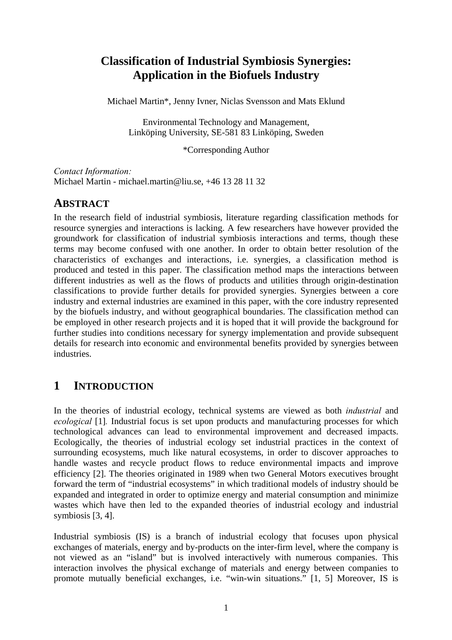# **Classification of Industrial Symbiosis Synergies: Application in the Biofuels Industry**

Michael Martin\*, Jenny Ivner, Niclas Svensson and Mats Eklund

Environmental Technology and Management, Linköping University, SE-581 83 Linköping, Sweden

\*Corresponding Author

*Contact Information:*  Michael Martin - michael.martin@liu.se, +46 13 28 11 32

## **ABSTRACT**

In the research field of industrial symbiosis, literature regarding classification methods for resource synergies and interactions is lacking. A few researchers have however provided the groundwork for classification of industrial symbiosis interactions and terms, though these terms may become confused with one another. In order to obtain better resolution of the characteristics of exchanges and interactions, i.e. synergies, a classification method is produced and tested in this paper. The classification method maps the interactions between different industries as well as the flows of products and utilities through origin-destination classifications to provide further details for provided synergies. Synergies between a core industry and external industries are examined in this paper, with the core industry represented by the biofuels industry, and without geographical boundaries. The classification method can be employed in other research projects and it is hoped that it will provide the background for further studies into conditions necessary for synergy implementation and provide subsequent details for research into economic and environmental benefits provided by synergies between industries.

# **1 INTRODUCTION**

In the theories of industrial ecology, technical systems are viewed as both *industrial* and *ecological* [1]*.* Industrial focus is set upon products and manufacturing processes for which technological advances can lead to environmental improvement and decreased impacts. Ecologically, the theories of industrial ecology set industrial practices in the context of surrounding ecosystems, much like natural ecosystems, in order to discover approaches to handle wastes and recycle product flows to reduce environmental impacts and improve efficiency [2]. The theories originated in 1989 when two General Motors executives brought forward the term of "industrial ecosystems" in which traditional models of industry should be expanded and integrated in order to optimize energy and material consumption and minimize wastes which have then led to the expanded theories of industrial ecology and industrial symbiosis [3, 4].

Industrial symbiosis (IS) is a branch of industrial ecology that focuses upon physical exchanges of materials, energy and by-products on the inter-firm level, where the company is not viewed as an "island" but is involved interactively with numerous companies. This interaction involves the physical exchange of materials and energy between companies to promote mutually beneficial exchanges, i.e. "win-win situations." [1, 5] Moreover, IS is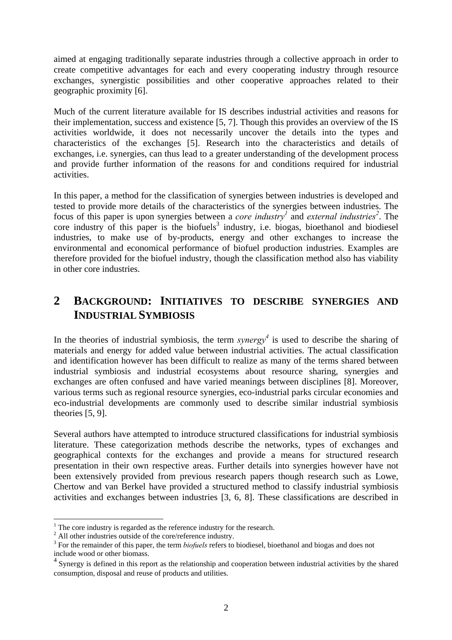aimed at engaging traditionally separate industries through a collective approach in order to create competitive advantages for each and every cooperating industry through resource exchanges, synergistic possibilities and other cooperative approaches related to their geographic proximity [6].

Much of the current literature available for IS describes industrial activities and reasons for their implementation, success and existence [5, 7]. Though this provides an overview of the IS activities worldwide, it does not necessarily uncover the details into the types and characteristics of the exchanges [5]. Research into the characteristics and details of exchanges, i.e. synergies, can thus lead to a greater understanding of the development process and provide further information of the reasons for and conditions required for industrial activities.

In this paper, a method for the classification of synergies between industries is developed and tested to provide more details of the characteristics of the synergies between industries. The focus of this paper is upon synergies between a *core industry*<sup>1</sup> and *external industries*<sup>2</sup>. The core industry of this paper is the biofuels<sup>3</sup> industry, i.e. biogas, bioethanol and biodiesel industries, to make use of by-products, energy and other exchanges to increase the environmental and economical performance of biofuel production industries. Examples are therefore provided for the biofuel industry, though the classification method also has viability in other core industries.

# **2 BACKGROUND: INITIATIVES TO DESCRIBE SYNERGIES AND INDUSTRIAL SYMBIOSIS**

In the theories of industrial symbiosis, the term *synergy*<sup>4</sup> is used to describe the sharing of materials and energy for added value between industrial activities. The actual classification and identification however has been difficult to realize as many of the terms shared between industrial symbiosis and industrial ecosystems about resource sharing, synergies and exchanges are often confused and have varied meanings between disciplines [8]. Moreover, various terms such as regional resource synergies, eco-industrial parks circular economies and eco-industrial developments are commonly used to describe similar industrial symbiosis theories [5, 9].

Several authors have attempted to introduce structured classifications for industrial symbiosis literature. These categorization methods describe the networks, types of exchanges and geographical contexts for the exchanges and provide a means for structured research presentation in their own respective areas. Further details into synergies however have not been extensively provided from previous research papers though research such as Lowe, Chertow and van Berkel have provided a structured method to classify industrial symbiosis activities and exchanges between industries [3, 6, 8]. These classifications are described in

1

<sup>&</sup>lt;sup>1</sup> The core industry is regarded as the reference industry for the research.

<sup>&</sup>lt;sup>2</sup> All other industries outside of the core/reference industry.

<sup>&</sup>lt;sup>3</sup> For the remainder of this paper, the term *biofuels* refers to biodiesel, bioethanol and biogas and does not include wood or other biomass.

<sup>&</sup>lt;sup>4</sup> Synergy is defined in this report as the relationship and cooperation between industrial activities by the shared consumption, disposal and reuse of products and utilities.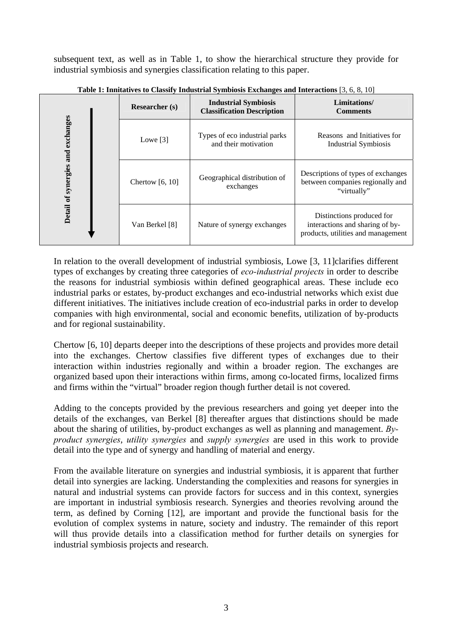subsequent text, as well as in Table 1, to show the hierarchical structure they provide for industrial symbiosis and synergies classification relating to this paper.

|                                                                                                                                                                                                                                                                                                                                                                                                                                                                                                                                                                                                                                                                                                                                            | <b>Researcher</b> (s) | <b>Industrial Symbiosis</b><br><b>Classification Description</b> | Limitations/<br><b>Comments</b>                                                                    |  |
|--------------------------------------------------------------------------------------------------------------------------------------------------------------------------------------------------------------------------------------------------------------------------------------------------------------------------------------------------------------------------------------------------------------------------------------------------------------------------------------------------------------------------------------------------------------------------------------------------------------------------------------------------------------------------------------------------------------------------------------------|-----------------------|------------------------------------------------------------------|----------------------------------------------------------------------------------------------------|--|
|                                                                                                                                                                                                                                                                                                                                                                                                                                                                                                                                                                                                                                                                                                                                            | Lowe $[3]$            | Types of eco industrial parks<br>and their motivation            | Reasons and Initiatives for<br><b>Industrial Symbiosis</b>                                         |  |
| Detail of synergies and exchanges                                                                                                                                                                                                                                                                                                                                                                                                                                                                                                                                                                                                                                                                                                          | Chertow $[6, 10]$     | Geographical distribution of<br>exchanges                        | Descriptions of types of exchanges<br>between companies regionally and<br>"virtually"              |  |
|                                                                                                                                                                                                                                                                                                                                                                                                                                                                                                                                                                                                                                                                                                                                            | Van Berkel [8]        | Nature of synergy exchanges                                      | Distinctions produced for<br>interactions and sharing of by-<br>products, utilities and management |  |
| In relation to the overall development of industrial symbiosis, Lowe [3, 11] clarifies different<br>types of exchanges by creating three categories of eco-industrial projects in order to describe<br>the reasons for industrial symbiosis within defined geographical areas. These include eco<br>industrial parks or estates, by-product exchanges and eco-industrial networks which exist due<br>different initiatives. The initiatives include creation of eco-industrial parks in order to develop<br>companies with high environmental, social and economic benefits, utilization of by-products<br>and for regional sustainability.                                                                                                |                       |                                                                  |                                                                                                    |  |
| Chertow [6, 10] departs deeper into the descriptions of these projects and provides more detail<br>into the exchanges. Chertow classifies five different types of exchanges due to their<br>interaction within industries regionally and within a broader region. The exchanges are<br>organized based upon their interactions within firms, among co-located firms, localized firms<br>and firms within the "virtual" broader region though further detail is not covered.                                                                                                                                                                                                                                                                |                       |                                                                  |                                                                                                    |  |
| Adding to the concepts provided by the previous researchers and going yet deeper into the<br>details of the exchanges, van Berkel [8] thereafter argues that distinctions should be made<br>about the sharing of utilities, by-product exchanges as well as planning and management. $By-$<br>product synergies, utility synergies and supply synergies are used in this work to provide<br>detail into the type and of synergy and handling of material and energy.                                                                                                                                                                                                                                                                       |                       |                                                                  |                                                                                                    |  |
| From the available literature on synergies and industrial symbiosis, it is apparent that further<br>detail into synergies are lacking. Understanding the complexities and reasons for synergies in<br>natural and industrial systems can provide factors for success and in this context, synergies<br>are important in industrial symbiosis research. Synergies and theories revolving around the<br>term, as defined by Corning [12], are important and provide the functional basis for the<br>evolution of complex systems in nature, society and industry. The remainder of this report<br>will thus provide details into a classification method for further details on synergies for<br>industrial symbiosis projects and research. |                       |                                                                  |                                                                                                    |  |

**Table 1: Innitatives to Classify Industrial Symbiosis Exchanges and Interactions** [3, 6, 8, 10]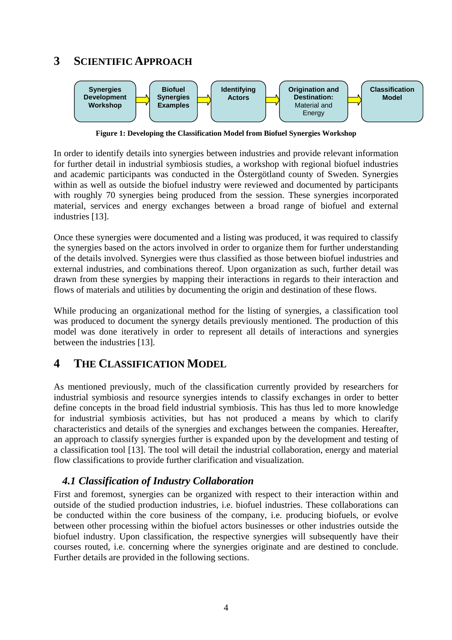# **3 SCIENTIFIC APPROACH**



**Figure 1: Developing the Classification Model from Biofuel Synergies Workshop** 

In order to identify details into synergies between industries and provide relevant information for further detail in industrial symbiosis studies, a workshop with regional biofuel industries and academic participants was conducted in the Östergötland county of Sweden. Synergies within as well as outside the biofuel industry were reviewed and documented by participants with roughly 70 synergies being produced from the session. These synergies incorporated material, services and energy exchanges between a broad range of biofuel and external industries [13].

Once these synergies were documented and a listing was produced, it was required to classify the synergies based on the actors involved in order to organize them for further understanding of the details involved. Synergies were thus classified as those between biofuel industries and external industries, and combinations thereof. Upon organization as such, further detail was drawn from these synergies by mapping their interactions in regards to their interaction and flows of materials and utilities by documenting the origin and destination of these flows.

While producing an organizational method for the listing of synergies, a classification tool was produced to document the synergy details previously mentioned. The production of this model was done iteratively in order to represent all details of interactions and synergies between the industries [13].

## **4 THE CLASSIFICATION MODEL**

As mentioned previously, much of the classification currently provided by researchers for industrial symbiosis and resource synergies intends to classify exchanges in order to better define concepts in the broad field industrial symbiosis. This has thus led to more knowledge for industrial symbiosis activities, but has not produced a means by which to clarify characteristics and details of the synergies and exchanges between the companies. Hereafter, an approach to classify synergies further is expanded upon by the development and testing of a classification tool [13]. The tool will detail the industrial collaboration, energy and material flow classifications to provide further clarification and visualization.

### *4.1 Classification of Industry Collaboration*

First and foremost, synergies can be organized with respect to their interaction within and outside of the studied production industries, i.e. biofuel industries. These collaborations can be conducted within the core business of the company, i.e. producing biofuels, or evolve between other processing within the biofuel actors businesses or other industries outside the biofuel industry. Upon classification, the respective synergies will subsequently have their courses routed, i.e. concerning where the synergies originate and are destined to conclude. Further details are provided in the following sections.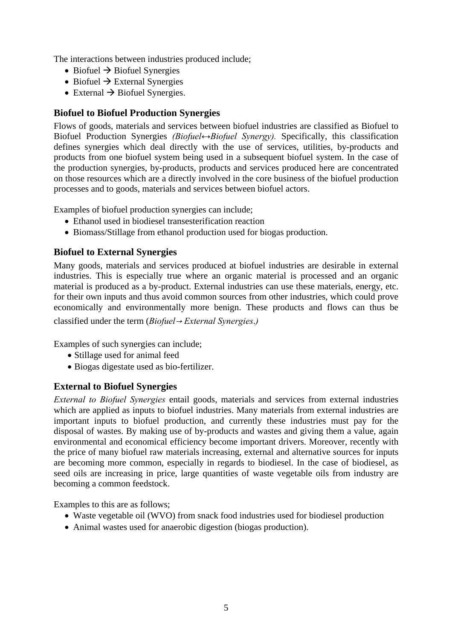The interactions between industries produced include;

- Biofuel  $\rightarrow$  Biofuel Synergies
- Biofuel  $\rightarrow$  External Synergies
- External  $\rightarrow$  Biofuel Synergies.

### **Biofuel to Biofuel Production Synergies**

Flows of goods, materials and services between biofuel industries are classified as Biofuel to Biofuel Production Synergies *(Biofuel↔Biofuel Synergy).* Specifically, this classification defines synergies which deal directly with the use of services, utilities, by-products and products from one biofuel system being used in a subsequent biofuel system. In the case of the production synergies, by-products, products and services produced here are concentrated on those resources which are a directly involved in the core business of the biofuel production processes and to goods, materials and services between biofuel actors.

Examples of biofuel production synergies can include;

- Ethanol used in biodiesel transesterification reaction
- Biomass/Stillage from ethanol production used for biogas production.

### **Biofuel to External Synergies**

Many goods, materials and services produced at biofuel industries are desirable in external industries. This is especially true where an organic material is processed and an organic material is produced as a by-product. External industries can use these materials, energy, etc. for their own inputs and thus avoid common sources from other industries, which could prove economically and environmentally more benign. These products and flows can thus be classified under the term (*Biofuel*→ *External Synergies*.*)* 

Examples of such synergies can include;

- Stillage used for animal feed
- Biogas digestate used as bio-fertilizer.

### **External to Biofuel Synergies**

*External to Biofuel Synergies* entail goods, materials and services from external industries which are applied as inputs to biofuel industries. Many materials from external industries are important inputs to biofuel production, and currently these industries must pay for the disposal of wastes. By making use of by-products and wastes and giving them a value, again environmental and economical efficiency become important drivers. Moreover, recently with the price of many biofuel raw materials increasing, external and alternative sources for inputs are becoming more common, especially in regards to biodiesel. In the case of biodiesel, as seed oils are increasing in price, large quantities of waste vegetable oils from industry are becoming a common feedstock.

Examples to this are as follows;

- Waste vegetable oil (WVO) from snack food industries used for biodiesel production
- Animal wastes used for anaerobic digestion (biogas production).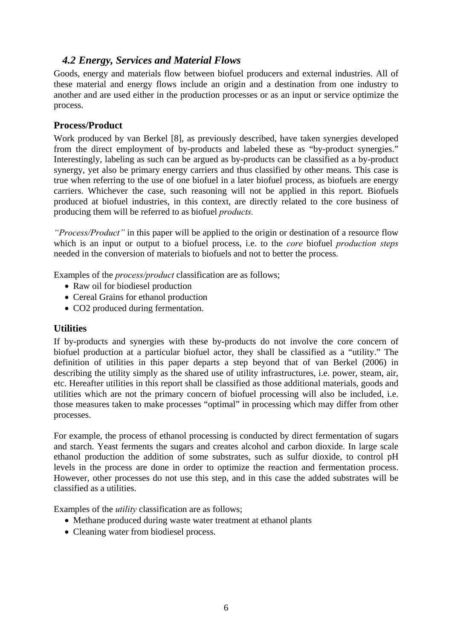### *4.2 Energy, Services and Material Flows*

Goods, energy and materials flow between biofuel producers and external industries. All of these material and energy flows include an origin and a destination from one industry to another and are used either in the production processes or as an input or service optimize the process.

### **Process/Product**

Work produced by van Berkel [8], as previously described, have taken synergies developed from the direct employment of by-products and labeled these as "by-product synergies." Interestingly, labeling as such can be argued as by-products can be classified as a by-product synergy, yet also be primary energy carriers and thus classified by other means. This case is true when referring to the use of one biofuel in a later biofuel process, as biofuels are energy carriers. Whichever the case, such reasoning will not be applied in this report. Biofuels produced at biofuel industries, in this context, are directly related to the core business of producing them will be referred to as biofuel *products.* 

*"Process/Product"* in this paper will be applied to the origin or destination of a resource flow which is an input or output to a biofuel process, i.e. to the *core* biofuel *production steps* needed in the conversion of materials to biofuels and not to better the process.

Examples of the *process/product* classification are as follows;

- Raw oil for biodiesel production
- Cereal Grains for ethanol production
- CO2 produced during fermentation.

#### **Utilities**

If by-products and synergies with these by-products do not involve the core concern of biofuel production at a particular biofuel actor, they shall be classified as a "utility." The definition of utilities in this paper departs a step beyond that of van Berkel (2006) in describing the utility simply as the shared use of utility infrastructures, i.e. power, steam, air, etc. Hereafter utilities in this report shall be classified as those additional materials, goods and utilities which are not the primary concern of biofuel processing will also be included, i.e. those measures taken to make processes "optimal" in processing which may differ from other processes.

For example, the process of ethanol processing is conducted by direct fermentation of sugars and starch. Yeast ferments the sugars and creates alcohol and carbon dioxide. In large scale ethanol production the addition of some substrates, such as sulfur dioxide, to control pH levels in the process are done in order to optimize the reaction and fermentation process. However, other processes do not use this step, and in this case the added substrates will be classified as a utilities.

Examples of the *utility* classification are as follows;

- Methane produced during waste water treatment at ethanol plants
- Cleaning water from biodiesel process.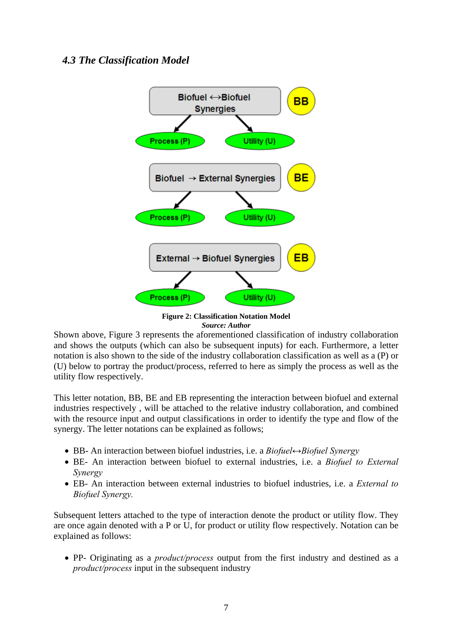### *4.3 The Classification Model*



**Figure 2: Classification Notation Model**  *Source: Author* 

Shown above, Figure 3 represents the aforementioned classification of industry collaboration and shows the outputs (which can also be subsequent inputs) for each. Furthermore, a letter notation is also shown to the side of the industry collaboration classification as well as a (P) or (U) below to portray the product/process, referred to here as simply the process as well as the utility flow respectively.

This letter notation, BB, BE and EB representing the interaction between biofuel and external industries respectively , will be attached to the relative industry collaboration, and combined with the resource input and output classifications in order to identify the type and flow of the synergy. The letter notations can be explained as follows;

- BB- An interaction between biofuel industries, i.e. a *Biofuel↔Biofuel Synergy*
- BE- An interaction between biofuel to external industries, i.e. a *Biofuel to External Synergy*
- EB- An interaction between external industries to biofuel industries, i.e. a *External to Biofuel Synergy.*

Subsequent letters attached to the type of interaction denote the product or utility flow. They are once again denoted with a P or U, for product or utility flow respectively. Notation can be explained as follows:

• PP- Originating as a *product/process* output from the first industry and destined as a *product/process* input in the subsequent industry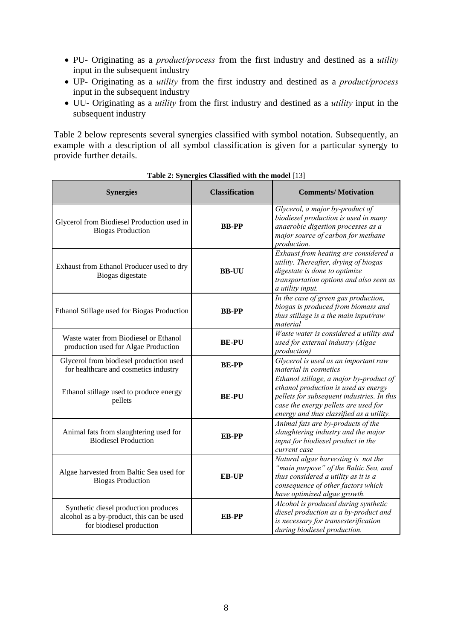- PU- Originating as a *product/process* from the first industry and destined as a *utility*  input in the subsequent industry
- UP- Originating as a *utility* from the first industry and destined as a *product/process* input in the subsequent industry
- UU- Originating as a *utility* from the first industry and destined as a *utility* input in the subsequent industry

Table 2 below represents several synergies classified with symbol notation. Subsequently, an example with a description of all symbol classification is given for a particular synergy to provide further details.

| <b>Synergies</b>                                                                                              | <b>Classification</b> | <b>Comments/Motivation</b>                                                                                                                                                                                        |
|---------------------------------------------------------------------------------------------------------------|-----------------------|-------------------------------------------------------------------------------------------------------------------------------------------------------------------------------------------------------------------|
| Glycerol from Biodiesel Production used in<br><b>Biogas Production</b>                                        | <b>BB-PP</b>          | Glycerol, a major by-product of<br>biodiesel production is used in many<br>anaerobic digestion processes as a<br>major source of carbon for methane<br>production.                                                |
| Exhaust from Ethanol Producer used to dry<br>Biogas digestate                                                 | <b>BB-UU</b>          | Exhaust from heating are considered a<br>utility. Thereafter, drying of biogas<br>digestate is done to optimize<br>transportation options and also seen as<br>a utility input.                                    |
| Ethanol Stillage used for Biogas Production                                                                   | <b>BB-PP</b>          | In the case of green gas production,<br>biogas is produced from biomass and<br>thus stillage is a the main input/raw<br>material                                                                                  |
| Waste water from Biodiesel or Ethanol<br>production used for Algae Production                                 | <b>BE-PU</b>          | Waste water is considered a utility and<br>used for external industry (Algae<br>production)                                                                                                                       |
| Glycerol from biodiesel production used<br>for healthcare and cosmetics industry                              | <b>BE-PP</b>          | Glycerol is used as an important raw<br>material in cosmetics                                                                                                                                                     |
| Ethanol stillage used to produce energy<br>pellets                                                            | <b>BE-PU</b>          | Ethanol stillage, a major by-product of<br>ethanol production is used as energy<br>pellets for subsequent industries. In this<br>case the energy pellets are used for<br>energy and thus classified as a utility. |
| Animal fats from slaughtering used for<br><b>Biodiesel Production</b>                                         | <b>EB-PP</b>          | Animal fats are by-products of the<br>slaughtering industry and the major<br>input for biodiesel product in the<br>current case                                                                                   |
| Algae harvested from Baltic Sea used for<br><b>Biogas Production</b>                                          | <b>EB-UP</b>          | Natural algae harvesting is not the<br>"main purpose" of the Baltic Sea, and<br>thus considered a utility as it is a<br>consequence of other factors which<br>have optimized algae growth.                        |
| Synthetic diesel production produces<br>alcohol as a by-product, this can be used<br>for biodiesel production | <b>EB-PP</b>          | Alcohol is produced during synthetic<br>diesel production as a by-product and<br>is necessary for transesterification<br>during biodiesel production.                                                             |

**Table 2: Synergies Classified with the model** [13]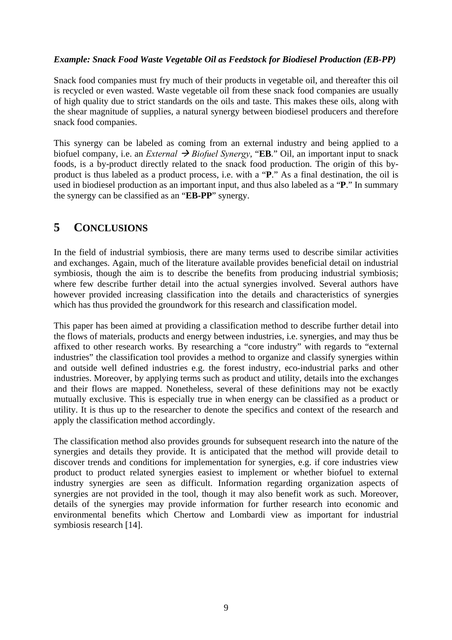#### *Example: Snack Food Waste Vegetable Oil as Feedstock for Biodiesel Production (EB-PP)*

Snack food companies must fry much of their products in vegetable oil, and thereafter this oil is recycled or even wasted. Waste vegetable oil from these snack food companies are usually of high quality due to strict standards on the oils and taste. This makes these oils, along with the shear magnitude of supplies, a natural synergy between biodiesel producers and therefore snack food companies.

This synergy can be labeled as coming from an external industry and being applied to a biofuel company, i.e. an *External*  $\rightarrow$  *Biofuel Synergy*, "**EB**." Oil, an important input to snack foods, is a by-product directly related to the snack food production. The origin of this byproduct is thus labeled as a product process, i.e. with a "**P**." As a final destination, the oil is used in biodiesel production as an important input, and thus also labeled as a "**P**." In summary the synergy can be classified as an "**EB-PP**" synergy.

# **5 CONCLUSIONS**

In the field of industrial symbiosis, there are many terms used to describe similar activities and exchanges. Again, much of the literature available provides beneficial detail on industrial symbiosis, though the aim is to describe the benefits from producing industrial symbiosis; where few describe further detail into the actual synergies involved. Several authors have however provided increasing classification into the details and characteristics of synergies which has thus provided the groundwork for this research and classification model.

This paper has been aimed at providing a classification method to describe further detail into the flows of materials, products and energy between industries, i.e. synergies, and may thus be affixed to other research works. By researching a "core industry" with regards to "external industries" the classification tool provides a method to organize and classify synergies within and outside well defined industries e.g. the forest industry, eco-industrial parks and other industries. Moreover, by applying terms such as product and utility, details into the exchanges and their flows are mapped. Nonetheless, several of these definitions may not be exactly mutually exclusive. This is especially true in when energy can be classified as a product or utility. It is thus up to the researcher to denote the specifics and context of the research and apply the classification method accordingly.

The classification method also provides grounds for subsequent research into the nature of the synergies and details they provide. It is anticipated that the method will provide detail to discover trends and conditions for implementation for synergies, e.g. if core industries view product to product related synergies easiest to implement or whether biofuel to external industry synergies are seen as difficult. Information regarding organization aspects of synergies are not provided in the tool, though it may also benefit work as such. Moreover, details of the synergies may provide information for further research into economic and environmental benefits which Chertow and Lombardi view as important for industrial symbiosis research [14].